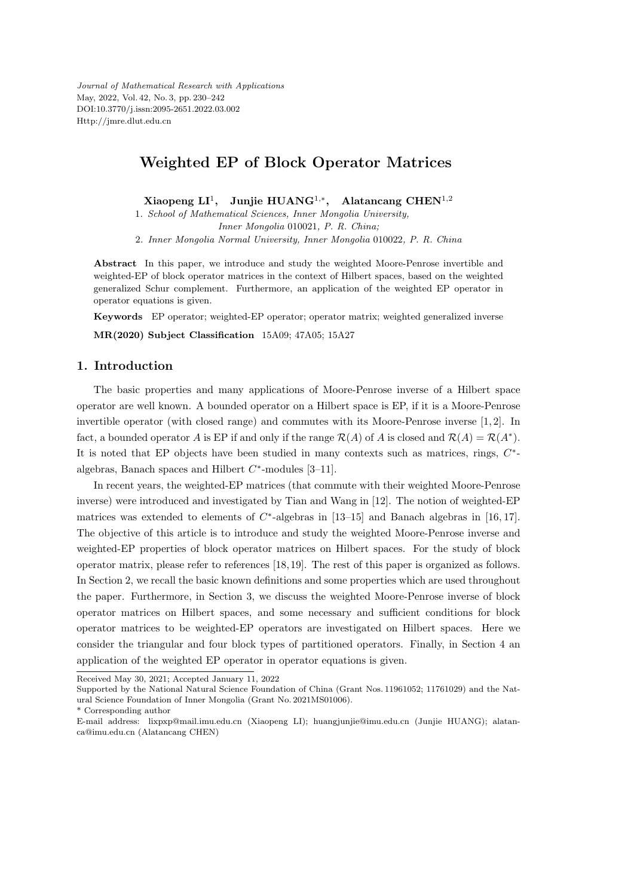*Journal of Mathematical Research with Applications* May, 2022, Vol. 42, No. 3, pp. 230–242 DOI:10.3770/j.issn:2095-2651.2022.03.002 Http://jmre.dlut.edu.cn

# **Weighted EP of Block Operator Matrices**

**Xiaopeng LI**<sup>1</sup> **, Junjie HUANG**<sup>1</sup>*,<sup>∗</sup>* **, Alatancang CHEN**<sup>1</sup>*,*<sup>2</sup>

1*. School of Mathematical Sciences, Inner Mongolia University,*

*Inner Mongolia* 010021*, P. R. China;*

2*. Inner Mongolia Normal University, Inner Mongolia* 010022*, P. R. China*

**Abstract** In this paper, we introduce and study the weighted Moore-Penrose invertible and weighted-EP of block operator matrices in the context of Hilbert spaces, based on the weighted generalized Schur complement. Furthermore, an application of the weighted EP operator in operator equations is given.

**Keywords** EP operator; weighted-EP operator; operator matrix; weighted generalized inverse

**MR(2020) Subject Classification** 15A09; 47A05; 15A27

#### **1. Introduction**

The basic properties and many applications of Moore-Penrose inverse of a Hilbert space operator are well known. A bounded operator on a Hilbert space is EP, if it is a Moore-Penrose invertible operator (with closed range) and commutes with its Moore-Penrose inverse [1, 2]. In fact, a bounded operator *A* is EP if and only if the range  $\mathcal{R}(A)$  of *A* is closed and  $\mathcal{R}(A) = \mathcal{R}(A^*)$ . It is noted that EP objects have been studied in many contexts such as matrices, rings,  $C^*$ algebras, Banach spaces and Hilbert *C ∗* -modules [3–11].

In recent years, the weighted-EP matrices (that commute with their weighted Moore-Penrose inverse) were introduced and investigated by Tian and Wang in [12]. The notion of weighted-EP matrices was extended to elements of *C ∗* -algebras in [13–15] and Banach algebras in [16, 17]. The objective of this article is to introduce and study the weighted Moore-Penrose inverse and weighted-EP properties of block operator matrices on Hilbert spaces. For the study of block operator matrix, please refer to references [18, 19]. The rest of this paper is organized as follows. In Section 2, we recall the basic known definitions and some properties which are used throughout the paper. Furthermore, in Section 3, we discuss the weighted Moore-Penrose inverse of block operator matrices on Hilbert spaces, and some necessary and sufficient conditions for block operator matrices to be weighted-EP operators are investigated on Hilbert spaces. Here we consider the triangular and four block types of partitioned operators. Finally, in Section 4 an application of the weighted EP operator in operator equations is given.

Received May 30, 2021; Accepted January 11, 2022

Supported by the National Natural Science Foundation of China (Grant Nos. 11961052; 11761029) and the Natural Science Foundation of Inner Mongolia (Grant No. 2021MS01006).

<sup>\*</sup> Corresponding author

E-mail address: lixpxp@mail.imu.edu.cn (Xiaopeng LI); huangjunjie@imu.edu.cn (Junjie HUANG); alatanca@imu.edu.cn (Alatancang CHEN)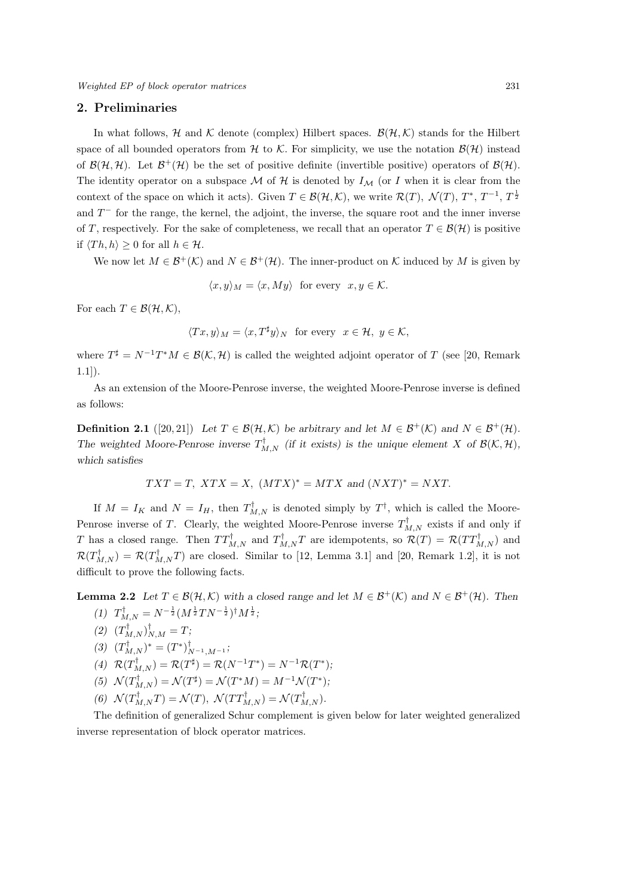*Weighted EP of block operator matrices* 231

#### **2. Preliminaries**

In what follows,  $H$  and  $K$  denote (complex) Hilbert spaces.  $B(H, K)$  stands for the Hilbert space of all bounded operators from *H* to *K*. For simplicity, we use the notation  $B(H)$  instead of  $\mathcal{B}(\mathcal{H}, \mathcal{H})$ . Let  $\mathcal{B}^+(\mathcal{H})$  be the set of positive definite (invertible positive) operators of  $\mathcal{B}(\mathcal{H})$ . The identity operator on a subspace  $\mathcal M$  of  $\mathcal H$  is denoted by  $I_{\mathcal M}$  (or *I* when it is clear from the context of the space on which it acts). Given  $T \in \mathcal{B}(\mathcal{H}, \mathcal{K})$ , we write  $\mathcal{R}(T)$ ,  $\mathcal{N}(T)$ ,  $T^*$ ,  $T^{-1}$ ,  $T^{\frac{1}{2}}$ and  $T<sup>−</sup>$  for the range, the kernel, the adjoint, the inverse, the square root and the inner inverse of *T*, respectively. For the sake of completeness, we recall that an operator  $T \in \mathcal{B}(\mathcal{H})$  is positive if  $\langle Th, h \rangle \geq 0$  for all  $h \in \mathcal{H}$ .

We now let  $M \in \mathcal{B}^+(\mathcal{K})$  and  $N \in \mathcal{B}^+(\mathcal{H})$ . The inner-product on  $\mathcal K$  induced by  $M$  is given by

$$
\langle x, y \rangle_M = \langle x, My \rangle \text{ for every } x, y \in \mathcal{K}.
$$

For each  $T \in \mathcal{B}(\mathcal{H}, \mathcal{K})$ ,

$$
\langle Tx, y \rangle_M = \langle x, T^{\sharp} y \rangle_N \text{ for every } x \in \mathcal{H}, y \in \mathcal{K},
$$

where  $T^{\sharp} = N^{-1}T^*M \in \mathcal{B}(\mathcal{K}, \mathcal{H})$  is called the weighted adjoint operator of *T* (see [20, Remark 1.1]).

As an extension of the Moore-Penrose inverse, the weighted Moore-Penrose inverse is defined as follows:

**Definition 2.1** ([20, 21]) Let  $T \in \mathcal{B}(\mathcal{H}, \mathcal{K})$  be arbitrary and let  $M \in \mathcal{B}^+(\mathcal{K})$  and  $N \in \mathcal{B}^+(\mathcal{H})$ . The weighted Moore-Penrose inverse  $T^{\dagger}_{M,N}$  (if it exists) is the unique element *X* of  $\mathcal{B}(\mathcal{K},\mathcal{H})$ , *which satisfies*

$$
TXT = T, \; XTX = X, \; (MTX)^* = MTX \text{ and } (NXT)^* = NXT.
$$

If  $M = I_K$  and  $N = I_H$ , then  $T_{M,N}^{\dagger}$  is denoted simply by  $T^{\dagger}$ , which is called the Moore-Penrose inverse of *T*. Clearly, the weighted Moore-Penrose inverse  $T_{M,N}^{\dagger}$  exists if and only if *T* has a closed range. Then  $TT^{\text{T}}_{M,N}$  and  $T^{\text{T}}_{M,N}$  are idempotents, so  $\mathcal{R}(T) = \mathcal{R}(TT^{\text{T}}_{M,N})$  and  $\mathcal{R}(T^{\text{T}}_{M,N}) = \mathcal{R}(T^{\text{T}}_{M,N}T)$  are closed. Similar to [12, Lemma 3.1] and [20, Remark 1.2], it is not difficult to prove the following facts.

**Lemma 2.2** *Let*  $T \in \mathcal{B}(\mathcal{H}, \mathcal{K})$  *with a closed range and let*  $M \in \mathcal{B}^+(\mathcal{K})$  *and*  $N \in \mathcal{B}^+(\mathcal{H})$ *. Then*  $(T)$   $T_{M,N}^{\dagger} = N^{-\frac{1}{2}} (M^{\frac{1}{2}} T N^{-\frac{1}{2}})^{\dagger} M^{\frac{1}{2}};$ 

- $(T_{M,N}^{\dagger})_{N,M}^{\dagger} = T;$
- $(T_{M,N}^{\mathsf{T}})^* = (T^*)_{N^{-1},M^{-1}}^{\mathsf{T}};$
- $R(T_{M,N}^{\dagger}) = R(T^{\sharp}) = R(N^{-1}T^*) = N^{-1}R(T^*)$ ;
- $(5)$   $\mathcal{N}(T_{M,N}^{\dagger}) = \mathcal{N}(T^{\sharp}) = \mathcal{N}(T^*M) = M^{-1}\mathcal{N}(T^*)$ ;
- $(6)$   $\mathcal{N}(T_{M,N}^{T}T) = \mathcal{N}(T),$   $\mathcal{N}(TT_{M,N}^{T}) = \mathcal{N}(T_{M,N}^{T}).$

The definition of generalized Schur complement is given below for later weighted generalized inverse representation of block operator matrices.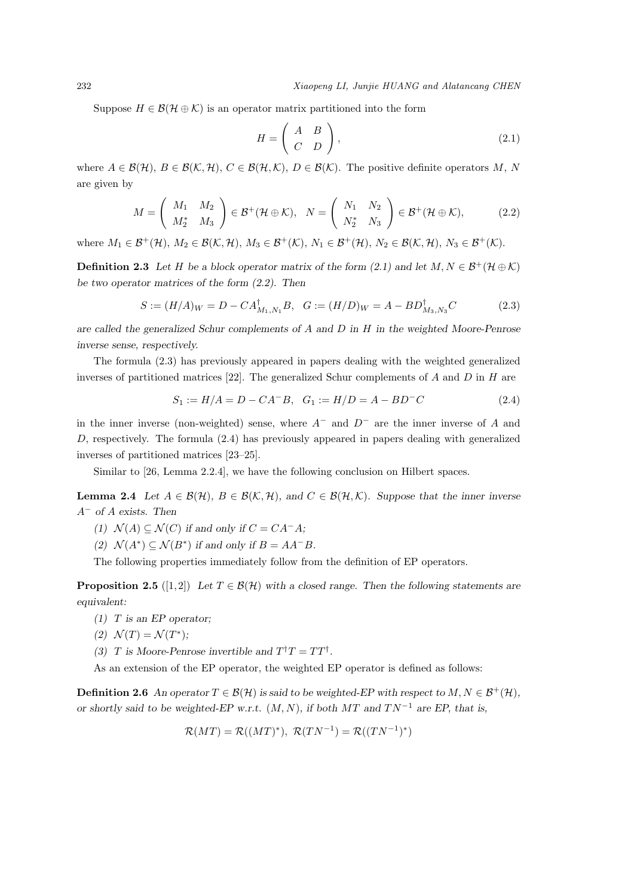Suppose  $H \in \mathcal{B}(\mathcal{H} \oplus \mathcal{K})$  is an operator matrix partitioned into the form

$$
H = \left(\begin{array}{cc} A & B \\ C & D \end{array}\right),\tag{2.1}
$$

where  $A \in \mathcal{B}(\mathcal{H}), B \in \mathcal{B}(\mathcal{K}, \mathcal{H}), C \in \mathcal{B}(\mathcal{H}, \mathcal{K}), D \in \mathcal{B}(\mathcal{K}).$  The positive definite operators  $M, N$ are given by

$$
M = \begin{pmatrix} M_1 & M_2 \\ M_2^* & M_3 \end{pmatrix} \in \mathcal{B}^+(\mathcal{H} \oplus \mathcal{K}), \quad N = \begin{pmatrix} N_1 & N_2 \\ N_2^* & N_3 \end{pmatrix} \in \mathcal{B}^+(\mathcal{H} \oplus \mathcal{K}), \tag{2.2}
$$

where  $M_1 \in \mathcal{B}^+(\mathcal{H})$ ,  $M_2 \in \mathcal{B}(\mathcal{K},\mathcal{H})$ ,  $M_3 \in \mathcal{B}^+(\mathcal{K})$ ,  $N_1 \in \mathcal{B}^+(\mathcal{H})$ ,  $N_2 \in \mathcal{B}(\mathcal{K},\mathcal{H})$ ,  $N_3 \in \mathcal{B}^+(\mathcal{K})$ .

**Definition 2.3** Let *H* be a block operator matrix of the form (2.1) and let  $M, N \in \mathcal{B}^+(\mathcal{H} \oplus \mathcal{K})$ *be two operator matrices of the form (2.2). Then*

$$
S := (H/A)_W = D - CA_{M_1, N_1}^{\dagger} B, \quad G := (H/D)_W = A - BD_{M_3, N_3}^{\dagger} C
$$
 (2.3)

*are called the generalized Schur complements of A and D in H in the weighted Moore-Penrose inverse sense, respectively.*

The formula (2.3) has previously appeared in papers dealing with the weighted generalized inverses of partitioned matrices [22]. The generalized Schur complements of *A* and *D* in *H* are

$$
S_1 := H/A = D - CA^{-}B, \quad G_1 := H/D = A - BD^{-}C \tag{2.4}
$$

in the inner inverse (non-weighted) sense, where *A<sup>−</sup>* and *D<sup>−</sup>* are the inner inverse of *A* and *D*, respectively. The formula (2.4) has previously appeared in papers dealing with generalized inverses of partitioned matrices [23–25].

Similar to [26, Lemma 2.2.4], we have the following conclusion on Hilbert spaces.

**Lemma 2.4** *Let*  $A \in \mathcal{B}(\mathcal{H})$ *,*  $B \in \mathcal{B}(\mathcal{K}, \mathcal{H})$ *, and*  $C \in \mathcal{B}(\mathcal{H}, \mathcal{K})$ *. Suppose that the inner inverse A<sup>−</sup> of A exists. Then*

- *(1)*  $N(A) \subseteq N(C)$  *if and only if*  $C = CA^{-}A$ *;*
- *(2)*  $\mathcal{N}(A^*) \subseteq \mathcal{N}(B^*)$  *if and only if*  $B = AA^{-}B$ *.*

The following properties immediately follow from the definition of EP operators.

**Proposition 2.5** ([1,2]) *Let*  $T \in \mathcal{B}(\mathcal{H})$  *with a closed range. Then the following statements are equivalent:*

- *(1) T is an EP operator;*
- (2)  $\mathcal{N}(T) = \mathcal{N}(T^*);$

*(3) T* is Moore-Penrose invertible and  $T^{\dagger}T = TT^{\dagger}$ .

As an extension of the EP operator, the weighted EP operator is defined as follows:

**Definition 2.6** *An operator*  $T \in \mathcal{B}(\mathcal{H})$  *is said to be weighted-EP with respect to*  $M, N \in \mathcal{B}^+(\mathcal{H})$ *, or shortly said to be weighted-EP w.r.t.*  $(M, N)$ , if both  $MT$  and  $TN^{-1}$  are EP, that is,

$$
\mathcal{R}(MT) = \mathcal{R}((MT)^*), \ \mathcal{R}(TN^{-1}) = \mathcal{R}((TN^{-1})^*)
$$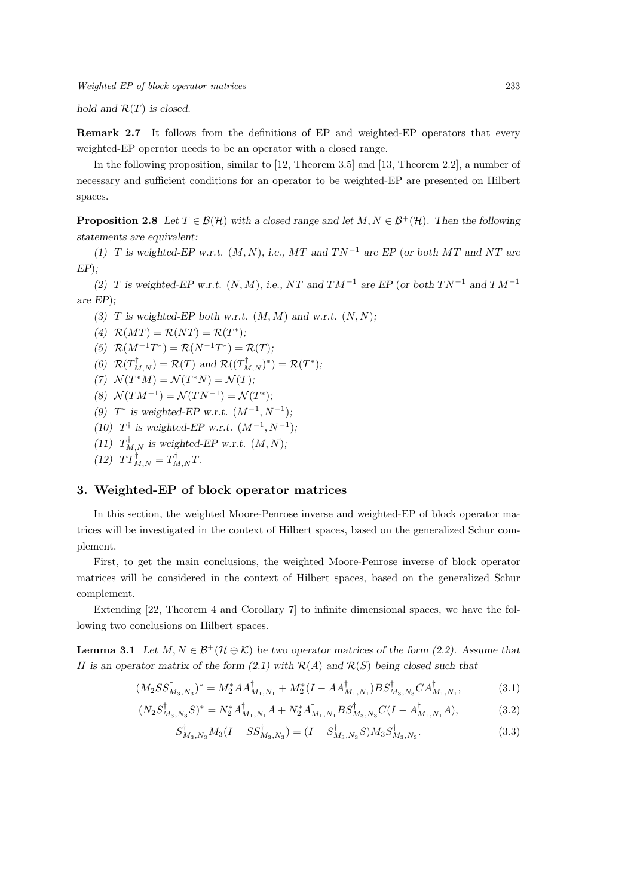*Weighted EP of block operator matrices* 233

*hold and R*(*T*) *is closed.*

**Remark 2.7** It follows from the definitions of EP and weighted-EP operators that every weighted-EP operator needs to be an operator with a closed range.

In the following proposition, similar to [12, Theorem 3.5] and [13, Theorem 2.2], a number of necessary and sufficient conditions for an operator to be weighted-EP are presented on Hilbert spaces.

**Proposition 2.8** *Let*  $T \in \mathcal{B}(\mathcal{H})$  *with a closed range and let*  $M, N \in \mathcal{B}^+(\mathcal{H})$ *. Then the following statements are equivalent:*

*(1) T* is weighted-EP w.r.t.  $(M, N)$ , i.e.,  $MT$  and  $TN^{-1}$  are EP (or both MT and NT are *EP*)*;*

*(2) T* is weighted-EP w.r.t.  $(N, M)$ *, i.e.,*  $NT$  and  $TM^{-1}$  are EP (or both  $TN^{-1}$  and  $TM^{-1}$ *are EP*)*;*

- (3) *T* is weighted-EP both w.r.t.  $(M, M)$  and w.r.t.  $(N, N)$ ;
- (4)  $R(MT) = R(NT) = R(T^*);$

(5) 
$$
\mathcal{R}(M^{-1}T^*) = \mathcal{R}(N^{-1}T^*) = \mathcal{R}(T);
$$

- (6)  $\mathcal{R}(T^{\text{T}}_{M,N}) = \mathcal{R}(T)$  and  $\mathcal{R}((T^{\text{T}}_{M,N})^*) = \mathcal{R}(T^*)$ ;
- $(7)$   $\mathcal{N}(T^*M) = \mathcal{N}(T^*N) = \mathcal{N}(T)$ ;
- $(8)$   $\mathcal{N}(TM^{-1}) = \mathcal{N}(TN^{-1}) = \mathcal{N}(T^*);$
- (9)  $T^*$  is weighted-EP w.r.t.  $(M^{-1}, N^{-1})$ ;
- (10) *T*<sup>†</sup> is weighted-EP w.r.t.  $(M^{-1}, N^{-1})$ ;
- (11)  $T_{M,N}^{\dagger}$  is weighted-EP w.r.t.  $(M, N)$ ;

$$
(12) \quad TT_{M,N}^{\dagger} = T_{M,N}^{\dagger} T.
$$

## **3. Weighted-EP of block operator matrices**

In this section, the weighted Moore-Penrose inverse and weighted-EP of block operator matrices will be investigated in the context of Hilbert spaces, based on the generalized Schur complement.

First, to get the main conclusions, the weighted Moore-Penrose inverse of block operator matrices will be considered in the context of Hilbert spaces, based on the generalized Schur complement.

Extending [22, Theorem 4 and Corollary 7] to infinite dimensional spaces, we have the following two conclusions on Hilbert spaces.

**Lemma 3.1** *Let*  $M, N \in \mathcal{B}^+(\mathcal{H} \oplus \mathcal{K})$  *be two operator matrices of the form (2.2). Assume that H* is an operator matrix of the form  $(2.1)$  with  $\mathcal{R}(A)$  and  $\mathcal{R}(S)$  being closed such that

$$
(M_2SS_{M_3,N_3}^{\dagger})^* = M_2^*AA_{M_1,N_1}^{\dagger} + M_2^*(I - AA_{M_1,N_1}^{\dagger})BS_{M_3,N_3}^{\dagger}CA_{M_1,N_1}^{\dagger},
$$
\n(3.1)

$$
(N_2 S_{M_3,N_3}^{\dagger} S)^* = N_2^* A_{M_1,N_1}^{\dagger} A + N_2^* A_{M_1,N_1}^{\dagger} B S_{M_3,N_3}^{\dagger} C (I - A_{M_1,N_1}^{\dagger} A), \tag{3.2}
$$

$$
S_{M_3,N_3}^{\dagger} M_3 (I - SS_{M_3,N_3}^{\dagger}) = (I - S_{M_3,N_3}^{\dagger} S) M_3 S_{M_3,N_3}^{\dagger}.
$$
 (3.3)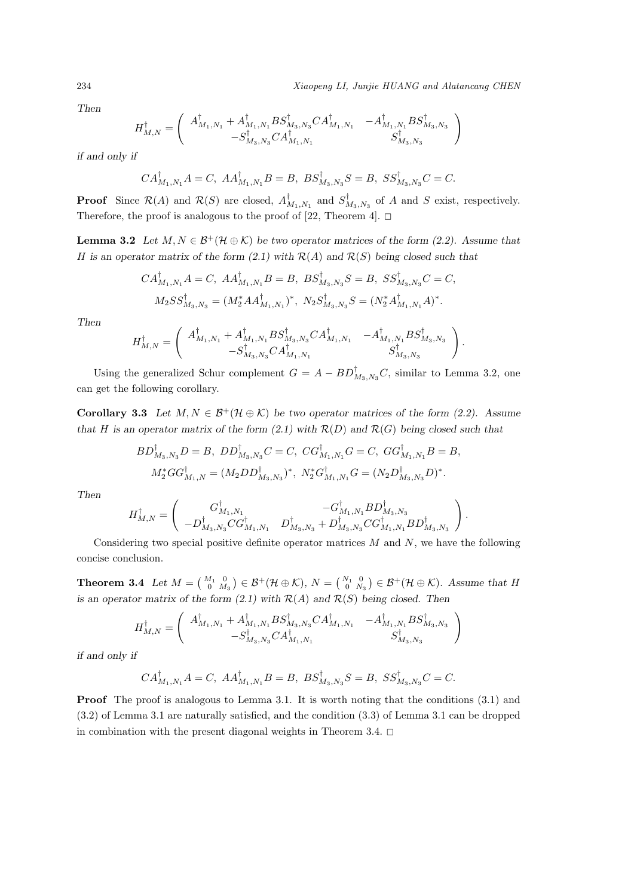234 *Xiaopeng LI, Junjie HUANG and Alatancang CHEN*

*Then*

$$
H^\dagger_{M,N} = \left( \begin{array}{cc} A^\dagger_{M_1,N_1} + A^\dagger_{M_1,N_1} BS^\dagger_{M_3,N_3} CA^\dagger_{M_1,N_1} & -A^\dagger_{M_1,N_1} BS^\dagger_{M_3,N_3} \\ -S^\dagger_{M_3,N_3} CA^\dagger_{M_1,N_1} & S^\dagger_{M_3,N_3} \end{array} \right)
$$

*if and only if*

$$
CA_{M_{1},N_{1}}^{\dagger}A=C,\; AA_{M_{1},N_{1}}^{\dagger}B=B,\; BS_{M_{3},N_{3}}^{\dagger}S=B,\; SS_{M_{3},N_{3}}^{\dagger}C=C.
$$

**Proof** Since  $\mathcal{R}(A)$  and  $\mathcal{R}(S)$  are closed,  $A_{M_1,N_1}^{\dagger}$  and  $S_{M_3,N_3}^{\dagger}$  of *A* and *S* exist, respectively. Therefore, the proof is analogous to the proof of [22, Theorem 4].  $\Box$ 

**Lemma 3.2** *Let*  $M, N \in \mathcal{B}^+(\mathcal{H} \oplus \mathcal{K})$  *be two operator matrices of the form (2.2). Assume that H* is an operator matrix of the form (2.1) with  $R(A)$  and  $R(S)$  being closed such that

$$
CA_{M_1,N_1}^{\dagger}A = C, \ AA_{M_1,N_1}^{\dagger}B = B, \ BS_{M_3,N_3}^{\dagger}S = B, \ SS_{M_3,N_3}^{\dagger}C = C,
$$
  

$$
M_2SS_{M_3,N_3}^{\dagger} = (M_2^*AA_{M_1,N_1}^{\dagger})^*, \ N_2S_{M_3,N_3}^{\dagger}S = (N_2^*A_{M_1,N_1}^{\dagger}A)^*.
$$

*Then*

$$
H_{M,N}^{\dagger} = \left( \begin{array}{cc} A_{M_1,N_1}^{\dagger} + A_{M_1,N_1}^{\dagger} BS_{M_3,N_3}^{\dagger} CA_{M_1,N_1}^{\dagger} & -A_{M_1,N_1}^{\dagger} BS_{M_3,N_3}^{\dagger} \\ -S_{M_3,N_3}^{\dagger} CA_{M_1,N_1}^{\dagger} & S_{M_3,N_3}^{\dagger} \end{array} \right).
$$

Using the generalized Schur complement  $G = A - BD\int_{M_3,N_3} C$ , similar to Lemma 3.2, one can get the following corollary.

**Corollary 3.3** *Let*  $M, N \in \mathcal{B}^+(\mathcal{H} \oplus \mathcal{K})$  *be two operator matrices of the form (2.2).* Assume *that H* is an operator matrix of the form (2.1) with  $R(D)$  and  $R(G)$  being closed such that

$$
BD_{M_3,N_3}^{\dagger}D = B, \ DD_{M_3,N_3}^{\dagger}C = C, \ CG_{M_1,N_1}^{\dagger}G = C, \ GG_{M_1,N_1}^{\dagger}B = B,
$$
  

$$
M_2^*GG_{M_1,N}^{\dagger} = (M_2DD_{M_3,N_3}^{\dagger})^*, \ N_2^*G_{M_1,N_1}^{\dagger}G = (N_2D_{M_3,N_3}^{\dagger}D)^*.
$$

*Then*

$$
H_{M,N}^\dag=\left(\begin{array}{cc}G_{M_1,N_1}^\dag & -G_{M_1,N_1}^\dag BD_{M_3,N_3}^\dag \\ -D_{M_3,N_3}^\dag CG_{M_1,N_1}^\dag & D_{M_3,N_3}^\dag+D_{M_3,N_3}^\dag CG_{M_1,N_1}^\dag BD_{M_3,N_3}^\dag \end{array}\right).
$$

Considering two special positive definite operator matrices *M* and *N*, we have the following concise conclusion.

**Theorem 3.4** *Let*  $M = \begin{pmatrix} M_1 & 0 \\ 0 & M_3 \end{pmatrix} \in \mathcal{B}^+(\mathcal{H} \oplus \mathcal{K})$ ,  $N = \begin{pmatrix} N_1 & 0 \\ 0 & N_3 \end{pmatrix} \in \mathcal{B}^+(\mathcal{H} \oplus \mathcal{K})$ . Assume that  $H$ *is an operator matrix of the form*  $(2.1)$  *with*  $R(A)$  *and*  $R(S)$  *being closed. Then* 

$$
H^\dagger_{M,N} = \left( \begin{array}{cc} A^\dagger_{M_1,N_1} + A^\dagger_{M_1,N_1} BS^\dagger_{M_3,N_3} CA^\dagger_{M_1,N_1} & -A^\dagger_{M_1,N_1} BS^\dagger_{M_3,N_3} \\ -S^\dagger_{M_3,N_3} CA^\dagger_{M_1,N_1} & S^\dagger_{M_3,N_3} \end{array} \right)
$$

*if and only if*

$$
CA_{M_1,N_1}^{\dagger}A=C, AA_{M_1,N_1}^{\dagger}B=B, BS_{M_3,N_3}^{\dagger}S=B, SS_{M_3,N_3}^{\dagger}C=C.
$$

**Proof** The proof is analogous to Lemma 3.1. It is worth noting that the conditions  $(3.1)$  and (3.2) of Lemma 3.1 are naturally satisfied, and the condition (3.3) of Lemma 3.1 can be dropped in combination with the present diagonal weights in Theorem 3.4.  $\Box$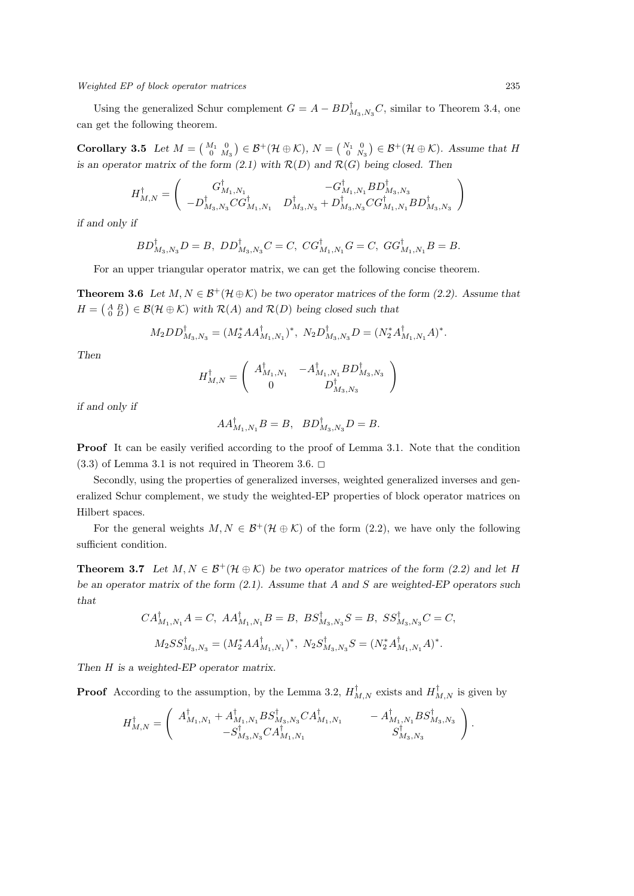Using the generalized Schur complement  $G = A - BD^{\dagger}_{M_3,N_3}C$ , similar to Theorem 3.4, one can get the following theorem.

**Corollary 3.5** Let  $M = \begin{pmatrix} M_1 & 0 \\ 0 & M_3 \end{pmatrix} \in \mathcal{B}^+(\mathcal{H} \oplus \mathcal{K}), N = \begin{pmatrix} N_1 & 0 \\ 0 & N_3 \end{pmatrix} \in \mathcal{B}^+(\mathcal{H} \oplus \mathcal{K}).$  Assume that  $H$ *is an operator matrix of the form*  $(2.1)$  *with*  $R(D)$  *and*  $R(G)$  *being closed. Then* 

$$
H^\dagger_{M,N} = \left( \begin{array}{cc} G^\dagger_{M_1,N_1} & -G^\dagger_{M_1,N_1} B D^\dagger_{M_3,N_3} \\ -D^\dagger_{M_3,N_3} C G^\dagger_{M_1,N_1} & D^\dagger_{M_3,N_3} + D^\dagger_{M_3,N_3} C G^\dagger_{M_1,N_1} B D^\dagger_{M_3,N_3} \\ \end{array} \right)
$$

*if and only if*

$$
BD_{M_3,N_3}^{\dagger}D = B, \ DD_{M_3,N_3}^{\dagger}C = C, \ CG_{M_1,N_1}^{\dagger}G = C, \ GG_{M_1,N_1}^{\dagger}B = B.
$$

For an upper triangular operator matrix, we can get the following concise theorem.

**Theorem 3.6** Let  $M, N \in \mathcal{B}^+(\mathcal{H} \oplus \mathcal{K})$  be two operator matrices of the form (2.2). Assume that  $H = \begin{pmatrix} A & B \\ 0 & D \end{pmatrix} \in \mathcal{B}(\mathcal{H} \oplus \mathcal{K})$  *with*  $\mathcal{R}(A)$  and  $\mathcal{R}(D)$  being closed such that

$$
M_2DD_{M_3,N_3}^{\dagger} = (M_2^*AA_{M_1,N_1}^{\dagger})^*, N_2D_{M_3,N_3}^{\dagger}D = (N_2^*A_{M_1,N_1}^{\dagger}A)^*.
$$

*Then*

$$
H_{M,N}^\dag=\left(\begin{array}{cc} A_{M_1,N_1}^\dag & -A_{M_1,N_1}^\dag BD_{M_3,N_3}^\dag \\ 0 & D_{M_3,N_3}^\dag \end{array}\right)
$$

*if and only if*

$$
AA_{M_1,N_1}^{\dagger}B = B, \quad BD_{M_3,N_3}^{\dagger}D = B.
$$

**Proof** It can be easily verified according to the proof of Lemma 3.1. Note that the condition  $(3.3)$  of Lemma 3.1 is not required in Theorem 3.6.  $\Box$ 

Secondly, using the properties of generalized inverses, weighted generalized inverses and generalized Schur complement, we study the weighted-EP properties of block operator matrices on Hilbert spaces.

For the general weights  $M, N \in \mathcal{B}^+(\mathcal{H} \oplus \mathcal{K})$  of the form (2.2), we have only the following sufficient condition.

**Theorem 3.7** Let  $M, N \in \mathcal{B}^+(\mathcal{H} \oplus \mathcal{K})$  be two operator matrices of the form (2.2) and let H *be an operator matrix of the form (2.1). Assume that A and S are weighted-EP operators such that*

$$
CA_{M_1,N_1}^{\dagger}A = C, \ AA_{M_1,N_1}^{\dagger}B = B, \ BS_{M_3,N_3}^{\dagger}S = B, \ SS_{M_3,N_3}^{\dagger}C = C,
$$
  

$$
M_2SS_{M_3,N_3}^{\dagger} = (M_2^*AA_{M_1,N_1}^{\dagger})^*, \ N_2S_{M_3,N_3}^{\dagger}S = (N_2^*A_{M_1,N_1}^{\dagger}A)^*.
$$

*Then H is a weighted-EP operator matrix.*

**Proof** According to the assumption, by the Lemma 3.2,  $H_{M,N}^{\dagger}$  exists and  $H_{M,N}^{\dagger}$  is given by

$$
H_{M,N}^{\dagger} = \left( \begin{array}{cc} A_{M_1,N_1}^{\dagger} + A_{M_1,N_1}^{\dagger} B S_{M_3,N_3}^{\dagger} C A_{M_1,N_1}^{\dagger} & - A_{M_1,N_1}^{\dagger} B S_{M_3,N_3}^{\dagger} \\ - S_{M_3,N_3}^{\dagger} C A_{M_1,N_1}^{\dagger} & S_{M_3,N_3}^{\dagger} \end{array} \right).
$$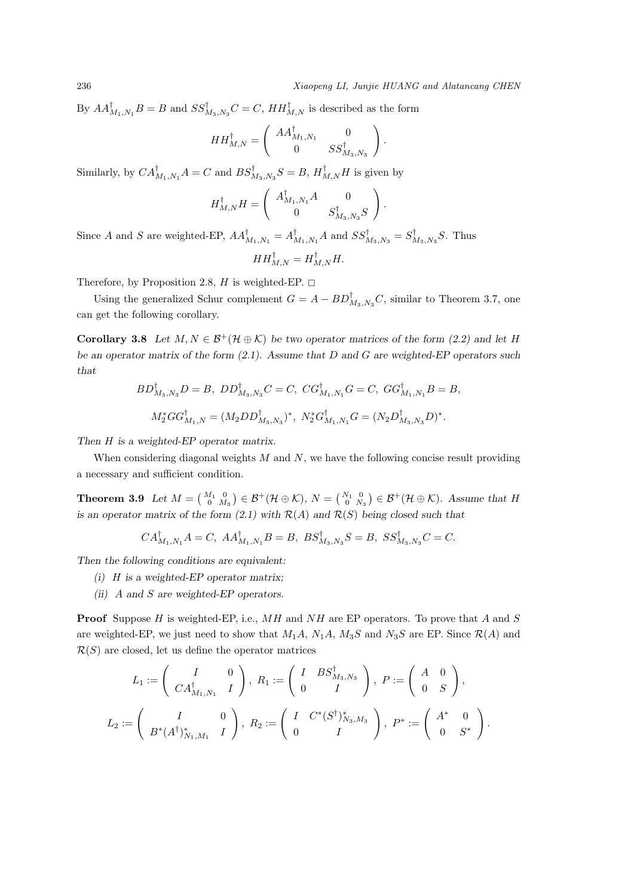By  $AA_{M_1,N_1}^{\dagger}B = B$  and  $SS_{M_3,N_3}^{\dagger}C = C$ ,  $HH_{M,N}^{\dagger}$  is described as the form

$$
HH_{M,N}^{\dagger} = \left( \begin{array}{cc} AA_{M_1,N_1}^{\dagger} & 0 \\ 0 & SS_{M_3,N_3}^{\dagger} \end{array} \right).
$$

Similarly, by  $CA_{M_1,N_1}^{\dagger}A = C$  and  $BS_{M_3,N_3}^{\dagger}S = B$ ,  $H_{M,N}^{\dagger}H$  is given by

$$
H_{M,N}^{\dagger}H = \left( \begin{array}{cc} A_{M_1,N_1}^{\dagger}A & 0 \\ 0 & S_{M_3,N_3}^{\dagger}S \end{array} \right).
$$

Since A and S are weighted-EP,  $AA_{M_1,N_1}^{\dagger} = A_{M_1,N_1}^{\dagger}A$  and  $SS_{M_3,N_3}^{\dagger} = S_{M_3,N_3}^{\dagger}S$ . Thus

$$
HH_{M,N}^\dagger = H_{M,N}^\dagger H.
$$

Therefore, by Proposition 2.8, *H* is weighted-EP.  $\Box$ 

Using the generalized Schur complement  $G = A - BD^{\dagger}_{M_3,N_3}C$ , similar to Theorem 3.7, one can get the following corollary.

**Corollary 3.8** *Let*  $M, N \in \mathcal{B}^+(\mathcal{H} \oplus \mathcal{K})$  *be two operator matrices of the form (2.2) and let H be an operator matrix of the form (2.1). Assume that D and G are weighted-EP operators such that*

$$
BD^{\dagger}_{M_3,N_3}D = B, \; DD^{\dagger}_{M_3,N_3}C = C, \; CG^{\dagger}_{M_1,N_1}G = C, \; GG^{\dagger}_{M_1,N_1}B = B,
$$
  

$$
M_2^*GG^{\dagger}_{M_1,N} = (M_2DD^{\dagger}_{M_3,N_3})^*, \; N_2^*G^{\dagger}_{M_1,N_1}G = (N_2D^{\dagger}_{M_3,N_3}D)^*.
$$

*Then H is a weighted-EP operator matrix.*

When considering diagonal weights *M* and *N*, we have the following concise result providing a necessary and sufficient condition.

**Theorem 3.9** *Let*  $M = \begin{pmatrix} M_1 & 0 \\ 0 & M_3 \end{pmatrix} \in \mathcal{B}^+(\mathcal{H} \oplus \mathcal{K}), N = \begin{pmatrix} N_1 & 0 \\ 0 & N_3 \end{pmatrix} \in \mathcal{B}^+(\mathcal{H} \oplus \mathcal{K}).$  Assume that  $H$ *is an operator matrix of the form (2.1) with*  $R(A)$  *and*  $R(S)$  *being closed such that* 

$$
CA_{M_1,N_1}^{\dagger}A = C
$$
,  $AA_{M_1,N_1}^{\dagger}B = B$ ,  $BS_{M_3,N_3}^{\dagger}S = B$ ,  $SS_{M_3,N_3}^{\dagger}C = C$ .

*Then the following conditions are equivalent:*

- *(i) H is a weighted-EP operator matrix;*
- *(ii) A and S are weighted-EP operators.*

**Proof** Suppose *H* is weighted-EP, i.e., *MH* and *NH* are EP operators. To prove that *A* and *S* are weighted-EP, we just need to show that  $M_1A$ ,  $N_1A$ ,  $M_3S$  and  $N_3S$  are EP. Since  $\mathcal{R}(A)$  and  $R(S)$  are closed, let us define the operator matrices

$$
L_1 := \begin{pmatrix} I & 0 \\ CA_{M_1,N_1}^{\dagger} & I \end{pmatrix}, R_1 := \begin{pmatrix} I & BS_{M_3,N_3}^{\dagger} \\ 0 & I \end{pmatrix}, P := \begin{pmatrix} A & 0 \\ 0 & S \end{pmatrix},
$$
  

$$
L_2 := \begin{pmatrix} I & 0 \\ B^*(A^{\dagger})_{N_1,M_1}^* & I \end{pmatrix}, R_2 := \begin{pmatrix} I & C^*(S^{\dagger})_{N_3,M_3}^* \\ 0 & I \end{pmatrix}, P^* := \begin{pmatrix} A^* & 0 \\ 0 & S^* \end{pmatrix}.
$$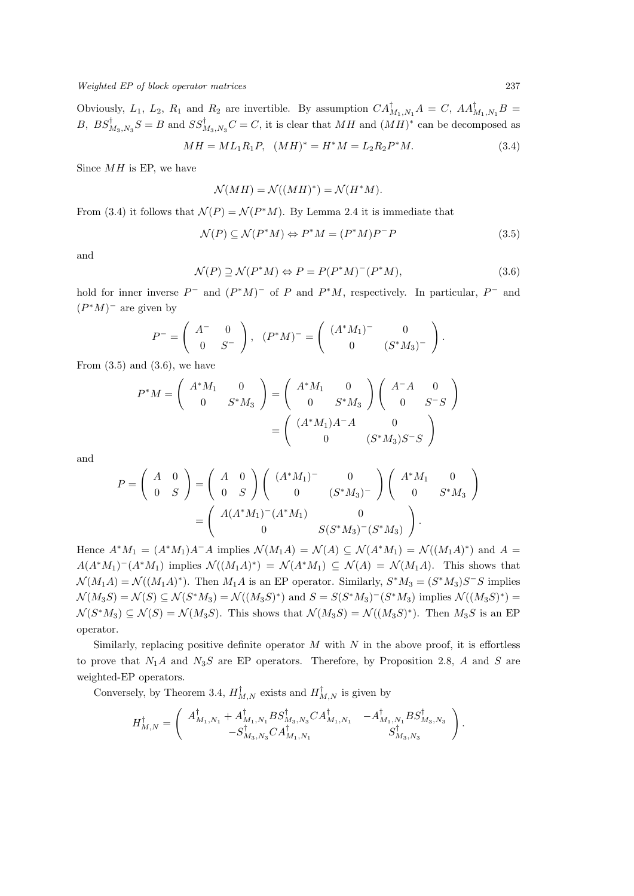Obviously,  $L_1$ ,  $L_2$ ,  $R_1$  and  $R_2$  are invertible. By assumption  $CA_{M_1,N_1}^{\dagger}A = C$ ,  $AA_{M_1,N_1}^{\dagger}B =$ *B*,  $BS_{M_3,N_3}^{\mathsf{T}}S = B$  and  $SS_{M_3,N_3}^{\mathsf{T}}C = C$ , it is clear that  $MH$  and  $(MH)^*$  can be decomposed as

$$
MH = ML_1R_1P, \quad (MH)^* = H^*M = L_2R_2P^*M. \tag{3.4}
$$

Since *MH* is EP, we have

$$
\mathcal{N}(MH) = \mathcal{N}((MH)^*) = \mathcal{N}(H^*M).
$$

From (3.4) it follows that  $\mathcal{N}(P) = \mathcal{N}(P^*M)$ . By Lemma 2.4 it is immediate that

$$
\mathcal{N}(P) \subseteq \mathcal{N}(P^*M) \Leftrightarrow P^*M = (P^*M)P^-P \tag{3.5}
$$

and

$$
\mathcal{N}(P) \supseteq \mathcal{N}(P^*M) \Leftrightarrow P = P(P^*M)^{-}(P^*M),\tag{3.6}
$$

hold for inner inverse  $P^-$  and  $(P^*M)^-$  of P and  $P^*M$ , respectively. In particular,  $P^-$  and  $(P^*M)^-$  are given by

$$
P^{-} = \left(\begin{array}{cc} A^{-} & 0 \\ 0 & S^{-} \end{array}\right), (P^*M)^{-} = \left(\begin{array}{cc} (A^*M_1)^{-} & 0 \\ 0 & (S^*M_3)^{-} \end{array}\right).
$$

From  $(3.5)$  and  $(3.6)$ , we have

$$
P^*M = \begin{pmatrix} A^*M_1 & 0 \\ 0 & S^*M_3 \end{pmatrix} = \begin{pmatrix} A^*M_1 & 0 \\ 0 & S^*M_3 \end{pmatrix} \begin{pmatrix} A^-A & 0 \\ 0 & S^-S \end{pmatrix}
$$

$$
= \begin{pmatrix} (A^*M_1)A^-A & 0 \\ 0 & (S^*M_3)S^-S \end{pmatrix}
$$

and

$$
P = \begin{pmatrix} A & 0 \\ 0 & S \end{pmatrix} = \begin{pmatrix} A & 0 \\ 0 & S \end{pmatrix} \begin{pmatrix} (A^*M_1)^- & 0 \\ 0 & (S^*M_3)^- \end{pmatrix} \begin{pmatrix} A^*M_1 & 0 \\ 0 & S^*M_3 \end{pmatrix}
$$

$$
= \begin{pmatrix} A(A^*M_1)^-(A^*M_1) & 0 \\ 0 & S(S^*M_3)^-(S^*M_3) \end{pmatrix}.
$$

Hence  $A^*M_1 = (A^*M_1)A^-A$  implies  $\mathcal{N}(M_1A) = \mathcal{N}(A) \subseteq \mathcal{N}(A^*M_1) = \mathcal{N}((M_1A)^*)$  and  $A =$  $A(A^*M_1)^-(A^*M_1)$  implies  $\mathcal{N}((M_1A)^*) = \mathcal{N}(A^*M_1) \subseteq \mathcal{N}(A) = \mathcal{N}(M_1A)$ . This shows that  $\mathcal{N}(M_1A) = \mathcal{N}((M_1A)^*)$ . Then  $M_1A$  is an EP operator. Similarly,  $S^*M_3 = (S^*M_3)S^-S$  implies  $\mathcal{N}(M_3S) = \mathcal{N}(S) \subseteq \mathcal{N}(S^*M_3) = \mathcal{N}((M_3S)^*)$  and  $S = S(S^*M_3)^{-(}S^*M_3)$  implies  $\mathcal{N}((M_3S)^*)$  $\mathcal{N}(S^*M_3) \subseteq \mathcal{N}(S) = \mathcal{N}(M_3S)$ . This shows that  $\mathcal{N}(M_3S) = \mathcal{N}((M_3S)^*)$ . Then  $M_3S$  is an EP operator.

Similarly, replacing positive definite operator *M* with *N* in the above proof, it is effortless to prove that *N*1*A* and *N*3*S* are EP operators. Therefore, by Proposition 2.8, *A* and *S* are weighted-EP operators.

Conversely, by Theorem 3.4,  $H_{M,N}^{\dagger}$  exists and  $H_{M,N}^{\dagger}$  is given by

$$
H_{M,N}^{\dagger} = \left( \begin{array}{cc} A_{M_1,N_1}^{\dagger} + A_{M_1,N_1}^{\dagger} BS_{M_3,N_3}^{\dagger} CA_{M_1,N_1}^{\dagger} & -A_{M_1,N_1}^{\dagger} BS_{M_3,N_3}^{\dagger} \\ -S_{M_3,N_3}^{\dagger} CA_{M_1,N_1}^{\dagger} & S_{M_3,N_3}^{\dagger} \end{array} \right).
$$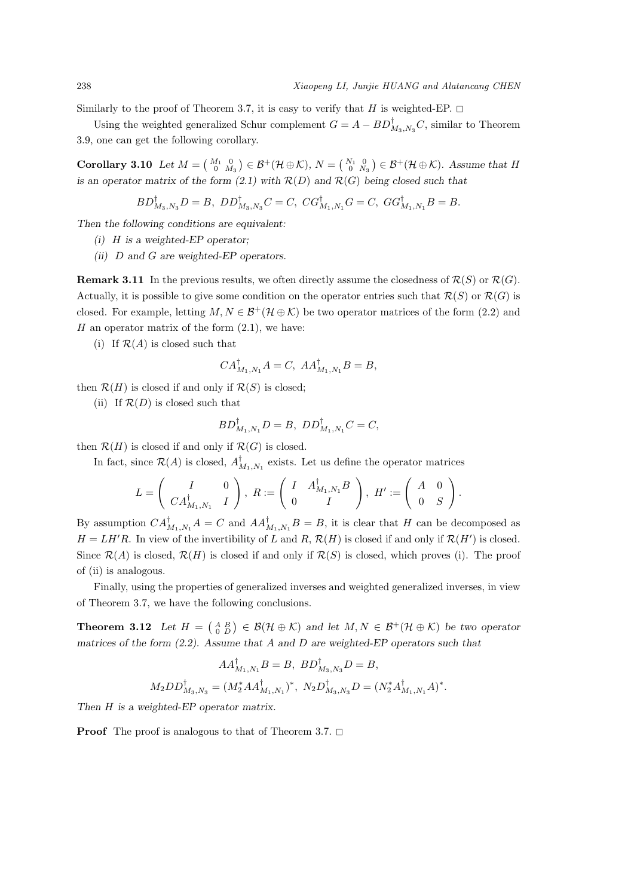Similarly to the proof of Theorem 3.7, it is easy to verify that *H* is weighted-EP.  $\Box$ 

Using the weighted generalized Schur complement  $G = A - BD^{\dagger}_{M_3, N_3}C$ , similar to Theorem 3.9, one can get the following corollary.

**Corollary 3.10** *Let*  $M = \begin{pmatrix} M_1 & 0 \\ 0 & M_3 \end{pmatrix} \in \mathcal{B}^+(\mathcal{H} \oplus \mathcal{K}), N = \begin{pmatrix} N_1 & 0 \\ 0 & N_3 \end{pmatrix} \in \mathcal{B}^+(\mathcal{H} \oplus \mathcal{K}).$  Assume that  $H$ *is an operator matrix of the form (2.1) with*  $R(D)$  *and*  $R(G)$  *being closed such that* 

$$
BD_{M_3,N_3}^{\dagger}D = B, \ DD_{M_3,N_3}^{\dagger}C = C, \ CG_{M_1,N_1}^{\dagger}G = C, \ GG_{M_1,N_1}^{\dagger}B = B.
$$

*Then the following conditions are equivalent:*

- *(i) H is a weighted-EP operator;*
- *(ii) D and G are weighted-EP operators.*

**Remark 3.11** In the previous results, we often directly assume the closedness of  $\mathcal{R}(S)$  or  $\mathcal{R}(G)$ . Actually, it is possible to give some condition on the operator entries such that  $\mathcal{R}(S)$  or  $\mathcal{R}(G)$  is closed. For example, letting  $M, N \in \mathcal{B}^+(\mathcal{H} \oplus \mathcal{K})$  be two operator matrices of the form (2.2) and  $H$  an operator matrix of the form  $(2.1)$ , we have:

(i) If  $\mathcal{R}(A)$  is closed such that

$$
CA_{M_1,N_1}^{\dagger}A = C, \ AA_{M_1,N_1}^{\dagger}B = B,
$$

then  $\mathcal{R}(H)$  is closed if and only if  $\mathcal{R}(S)$  is closed;

(ii) If  $\mathcal{R}(D)$  is closed such that

$$
BD_{M_1,N_1}^{\dagger}D = B, DD_{M_1,N_1}^{\dagger}C = C,
$$

then  $\mathcal{R}(H)$  is closed if and only if  $\mathcal{R}(G)$  is closed.

In fact, since  $\mathcal{R}(A)$  is closed,  $A_{M_1,N_1}^{\dagger}$  exists. Let us define the operator matrices

$$
L = \begin{pmatrix} I & 0 \\ CA_{M_1,N_1}^{\dagger} & I \end{pmatrix}, \ R := \begin{pmatrix} I & A_{M_1,N_1}^{\dagger} B \\ 0 & I \end{pmatrix}, \ H' := \begin{pmatrix} A & 0 \\ 0 & S \end{pmatrix}.
$$

By assumption  $CA_{M_1,N_1}^{\dagger}A = C$  and  $AA_{M_1,N_1}^{\dagger}B = B$ , it is clear that *H* can be decomposed as  $H = LH'R$ . In view of the invertibility of *L* and *R*,  $\mathcal{R}(H)$  is closed if and only if  $\mathcal{R}(H')$  is closed. Since  $\mathcal{R}(A)$  is closed,  $\mathcal{R}(H)$  is closed if and only if  $\mathcal{R}(S)$  is closed, which proves (i). The proof of (ii) is analogous.

Finally, using the properties of generalized inverses and weighted generalized inverses, in view of Theorem 3.7, we have the following conclusions.

**Theorem 3.12** Let  $H = \begin{pmatrix} A & B \\ 0 & D \end{pmatrix} \in \mathcal{B}(\mathcal{H} \oplus \mathcal{K})$  and let  $M, N \in \mathcal{B}^+(\mathcal{H} \oplus \mathcal{K})$  be two operator *matrices of the form (2.2). Assume that A and D are weighted-EP operators such that*

$$
AA_{M_1,N_1}^{\dagger}B = B, \ BD_{M_3,N_3}^{\dagger}D = B,
$$
  

$$
M_2DD_{M_3,N_3}^{\dagger} = (M_2^*AA_{M_1,N_1}^{\dagger})^*, \ N_2D_{M_3,N_3}^{\dagger}D = (N_2^*A_{M_1,N_1}^{\dagger}A)^*.
$$

*Then H is a weighted-EP operator matrix.*

**Proof** The proof is analogous to that of Theorem 3.7.  $\Box$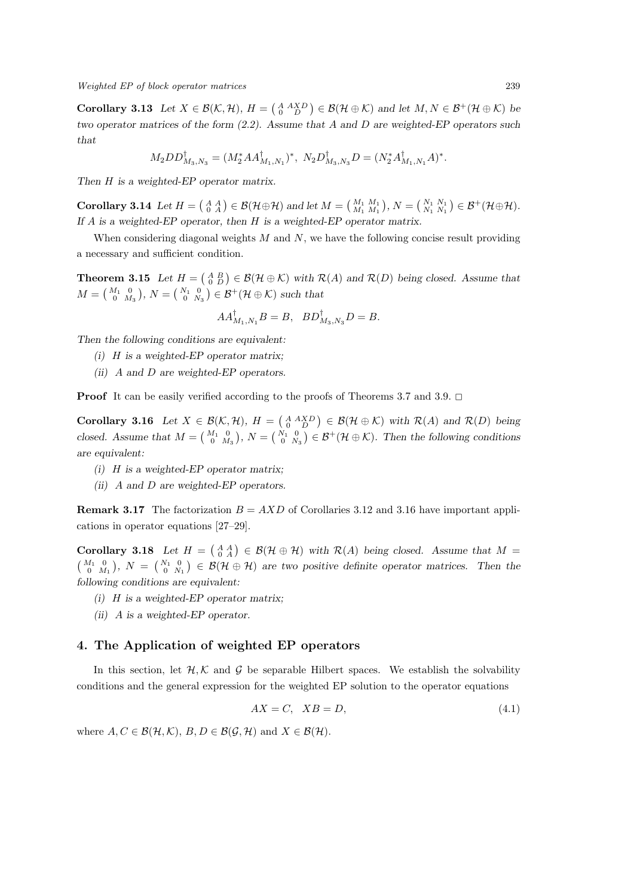**Corollary 3.13** Let  $X \in \mathcal{B}(\mathcal{K}, \mathcal{H})$ ,  $H = \begin{pmatrix} A & XD \\ 0 & D \end{pmatrix} \in \mathcal{B}(\mathcal{H} \oplus \mathcal{K})$  and let  $M, N \in \mathcal{B}^+(\mathcal{H} \oplus \mathcal{K})$  be *two operator matrices of the form (2.2). Assume that A and D are weighted-EP operators such that*

$$
M_2 D D_{M_3,N_3}^{\dagger} = (M_2^* A A_{M_1,N_1}^{\dagger})^*, N_2 D_{M_3,N_3}^{\dagger} D = (N_2^* A_{M_1,N_1}^{\dagger} A)^*.
$$

*Then H is a weighted-EP operator matrix.*

**Corollary 3.14** Let  $H = \begin{pmatrix} A & A \\ 0 & A \end{pmatrix} \in \mathcal{B}(\mathcal{H} \oplus \mathcal{H})$  and let  $M = \begin{pmatrix} M_1 & M_1 \\ M_1 & M_1 \end{pmatrix}$ ,  $N = \begin{pmatrix} N_1 & N_1 \\ N_1 & N_1 \end{pmatrix} \in \mathcal{B}^+(\mathcal{H} \oplus \mathcal{H})$ . *If A is a weighted-EP operator, then H is a weighted-EP operator matrix.*

When considering diagonal weights *M* and *N*, we have the following concise result providing a necessary and sufficient condition.

**Theorem 3.15** *Let*  $H = \begin{pmatrix} A & B \\ 0 & D \end{pmatrix} \in \mathcal{B}(\mathcal{H} \oplus \mathcal{K})$  with  $\mathcal{R}(A)$  and  $\mathcal{R}(D)$  being closed. Assume that  $M = \begin{pmatrix} M_1 & 0 \\ 0 & M_3 \end{pmatrix}$ ,  $N = \begin{pmatrix} N_1 & 0 \\ 0 & N_3 \end{pmatrix} \in \mathcal{B}^+(\mathcal{H} \oplus \mathcal{K})$  such that

$$
AA_{M_1,N_1}^{\dagger}B = B, \quad BD_{M_3,N_3}^{\dagger}D = B.
$$

*Then the following conditions are equivalent:*

- *(i) H is a weighted-EP operator matrix;*
- *(ii) A and D are weighted-EP operators.*

**Proof** It can be easily verified according to the proofs of Theorems 3.7 and 3.9.  $\Box$ 

**Corollary 3.16** Let  $X \in \mathcal{B}(\mathcal{K}, \mathcal{H})$ ,  $H = \begin{pmatrix} A & A X D \\ 0 & D \end{pmatrix} \in \mathcal{B}(\mathcal{H} \oplus \mathcal{K})$  with  $\mathcal{R}(A)$  and  $\mathcal{R}(D)$  being *closed.* Assume that  $M = \begin{pmatrix} M_1 & 0 \\ 0 & M_3 \end{pmatrix}$ ,  $N = \begin{pmatrix} N_1 & 0 \\ 0 & N_3 \end{pmatrix} \in \mathcal{B}^+(\mathcal{H} \oplus \mathcal{K})$ . Then the following conditions *are equivalent:*

- *(i) H is a weighted-EP operator matrix;*
- *(ii) A and D are weighted-EP operators.*

**Remark 3.17** The factorization  $B = AXD$  of Corollaries 3.12 and 3.16 have important applications in operator equations [27–29].

**Corollary 3.18** Let  $H = \begin{pmatrix} A & A \\ 0 & A \end{pmatrix} \in \mathcal{B}(\mathcal{H} \oplus \mathcal{H})$  with  $\mathcal{R}(A)$  being closed. Assume that  $M =$  $\begin{pmatrix} M_1 & 0 \\ 0 & M_1 \end{pmatrix}$ ,  $N = \begin{pmatrix} N_1 & 0 \\ 0 & N_1 \end{pmatrix} \in \mathcal{B}(\mathcal{H} \oplus \mathcal{H})$  are two positive definite operator matrices. Then the *following conditions are equivalent:*

- *(i) H is a weighted-EP operator matrix;*
- *(ii) A is a weighted-EP operator.*

### **4. The Application of weighted EP operators**

In this section, let  $H$ ,  $K$  and  $G$  be separable Hilbert spaces. We establish the solvability conditions and the general expression for the weighted EP solution to the operator equations

$$
AX = C, \quad XB = D,\tag{4.1}
$$

where  $A, C \in \mathcal{B}(\mathcal{H}, \mathcal{K}), B, D \in \mathcal{B}(\mathcal{G}, \mathcal{H})$  and  $X \in \mathcal{B}(\mathcal{H}).$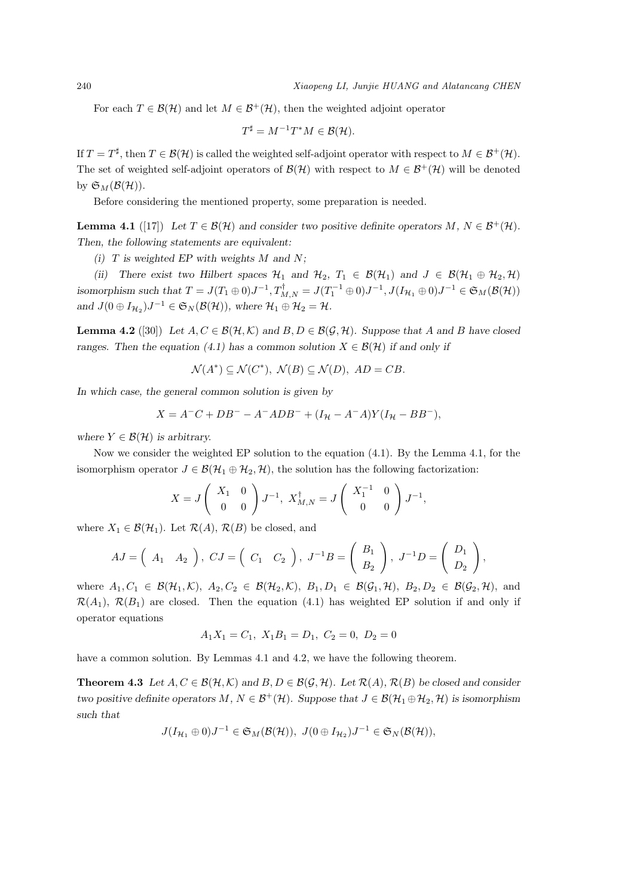For each  $T \in \mathcal{B}(\mathcal{H})$  and let  $M \in \mathcal{B}^+(\mathcal{H})$ , then the weighted adjoint operator

$$
T^{\sharp} = M^{-1}T^*M \in \mathcal{B}(\mathcal{H}).
$$

If  $T = T^{\sharp}$ , then  $T \in \mathcal{B}(\mathcal{H})$  is called the weighted self-adjoint operator with respect to  $M \in \mathcal{B}^+(\mathcal{H})$ . The set of weighted self-adjoint operators of  $\mathcal{B}(\mathcal{H})$  with respect to  $M \in \mathcal{B}^+(\mathcal{H})$  will be denoted by  $\mathfrak{S}_M(\mathcal{B}(\mathcal{H}))$ .

Before considering the mentioned property, some preparation is needed.

**Lemma 4.1** ([17]) Let  $T \in \mathcal{B}(\mathcal{H})$  and consider two positive definite operators  $M, N \in \mathcal{B}^+(\mathcal{H})$ . *Then, the following statements are equivalent:*

*(i) T is weighted EP with weights M and N;*

*(ii)* There exist two Hilbert spaces  $\mathcal{H}_1$  and  $\mathcal{H}_2$ ,  $T_1 \in \mathcal{B}(\mathcal{H}_1)$  and  $J \in \mathcal{B}(\mathcal{H}_1 \oplus \mathcal{H}_2, \mathcal{H})$ isomorphism such that  $T = J(T_1 \oplus 0)J^{-1}, T_{M,N}^{\dagger} = J(T_1^{-1} \oplus 0)J^{-1}, J(I_{\mathcal{H}_1} \oplus 0)J^{-1} \in \mathfrak{S}_M(\mathcal{B}(\mathcal{H}))$ *and*  $J(0 \oplus I_{\mathcal{H}_2})J^{-1} \in \mathfrak{S}_N(\mathcal{B}(\mathcal{H}))$ , where  $\mathcal{H}_1 \oplus \mathcal{H}_2 = \mathcal{H}$ *.* 

**Lemma 4.2** ([30]) Let *A*, *C* ∈  $\mathcal{B}(\mathcal{H}, \mathcal{K})$  and  $B, D \in \mathcal{B}(\mathcal{G}, \mathcal{H})$ . Suppose that *A* and *B* have closed *ranges. Then the equation (4.1) has a common solution*  $X \in \mathcal{B}(\mathcal{H})$  *if and only if* 

$$
\mathcal{N}(A^*) \subseteq \mathcal{N}(C^*), \ \mathcal{N}(B) \subseteq \mathcal{N}(D), \ AD = CB.
$$

*In which case, the general common solution is given by*

$$
X = A^{-}C + DB^{-} - A^{-} ADB^{-} + (I_{\mathcal{H}} - A^{-}A)Y(I_{\mathcal{H}} - BB^{-}),
$$

*where*  $Y \in \mathcal{B}(\mathcal{H})$  *is arbitrary.* 

Now we consider the weighted EP solution to the equation (4.1). By the Lemma 4.1, for the isomorphism operator  $J \in \mathcal{B}(\mathcal{H}_1 \oplus \mathcal{H}_2, \mathcal{H})$ , the solution has the following factorization:

$$
X = J\begin{pmatrix} X_1 & 0 \\ 0 & 0 \end{pmatrix} J^{-1}, X_{M,N}^{\dagger} = J\begin{pmatrix} X_1^{-1} & 0 \\ 0 & 0 \end{pmatrix} J^{-1},
$$

where  $X_1 \in \mathcal{B}(\mathcal{H}_1)$ . Let  $\mathcal{R}(A), \mathcal{R}(B)$  be closed, and

$$
AJ = \begin{pmatrix} A_1 & A_2 \end{pmatrix}, \; CJ = \begin{pmatrix} C_1 & C_2 \end{pmatrix}, \; J^{-1}B = \begin{pmatrix} B_1 \\ B_2 \end{pmatrix}, \; J^{-1}D = \begin{pmatrix} D_1 \\ D_2 \end{pmatrix},
$$

where  $A_1, C_1 \in \mathcal{B}(\mathcal{H}_1, \mathcal{K}), A_2, C_2 \in \mathcal{B}(\mathcal{H}_2, \mathcal{K}), B_1, D_1 \in \mathcal{B}(\mathcal{G}_1, \mathcal{H}), B_2, D_2 \in \mathcal{B}(\mathcal{G}_2, \mathcal{H}),$  and  $\mathcal{R}(A_1), \mathcal{R}(B_1)$  are closed. Then the equation (4.1) has weighted EP solution if and only if operator equations

$$
A_1 X_1 = C_1, X_1 B_1 = D_1, C_2 = 0, D_2 = 0
$$

have a common solution. By Lemmas 4.1 and 4.2, we have the following theorem.

**Theorem 4.3** Let  $A, C \in \mathcal{B}(\mathcal{H}, \mathcal{K})$  and  $B, D \in \mathcal{B}(\mathcal{G}, \mathcal{H})$ . Let  $\mathcal{R}(A), \mathcal{R}(B)$  be closed and consider *two positive definite operators*  $M, N \in \mathcal{B}^+(\mathcal{H})$ *. Suppose that*  $J \in \mathcal{B}(\mathcal{H}_1 \oplus \mathcal{H}_2, \mathcal{H})$  *is isomorphism such that*

$$
J(I_{\mathcal{H}_1} \oplus 0)J^{-1} \in \mathfrak{S}_M(\mathcal{B}(\mathcal{H})), \ J(0 \oplus I_{\mathcal{H}_2})J^{-1} \in \mathfrak{S}_N(\mathcal{B}(\mathcal{H})),
$$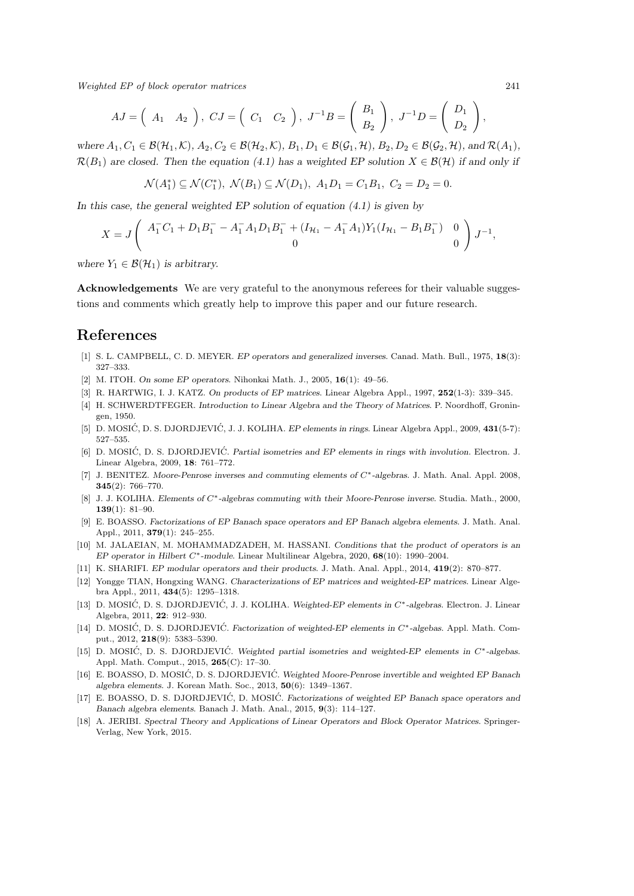*Weighted EP of block operator matrices* 241

$$
AJ = \begin{pmatrix} A_1 & A_2 \end{pmatrix}, \; CJ = \begin{pmatrix} C_1 & C_2 \end{pmatrix}, \; J^{-1}B = \begin{pmatrix} B_1 \\ B_2 \end{pmatrix}, \; J^{-1}D = \begin{pmatrix} D_1 \\ D_2 \end{pmatrix},
$$

where  $A_1, C_1 \in \mathcal{B}(\mathcal{H}_1, \mathcal{K}), A_2, C_2 \in \mathcal{B}(\mathcal{H}_2, \mathcal{K}), B_1, D_1 \in \mathcal{B}(\mathcal{G}_1, \mathcal{H}), B_2, D_2 \in \mathcal{B}(\mathcal{G}_2, \mathcal{H}),$  and  $\mathcal{R}(A_1)$ ,  $\mathcal{R}(B_1)$  are closed. Then the equation (4.1) has a weighted EP solution  $X \in \mathcal{B}(\mathcal{H})$  if and only if

$$
\mathcal{N}(A_1^*) \subseteq \mathcal{N}(C_1^*), \ \mathcal{N}(B_1) \subseteq \mathcal{N}(D_1), \ A_1D_1 = C_1B_1, \ C_2 = D_2 = 0.
$$

*In this case, the general weighted EP solution of equation (4.1) is given by*

$$
X = J \begin{pmatrix} A_1^- C_1 + D_1 B_1^- - A_1^- A_1 D_1 B_1^- + (I_{\mathcal{H}_1} - A_1^- A_1) Y_1 (I_{\mathcal{H}_1} - B_1 B_1^-) & 0 \\ 0 & 0 \end{pmatrix} J^{-1},
$$

*where*  $Y_1 \in \mathcal{B}(\mathcal{H}_1)$  *is arbitrary.* 

**Acknowledgements** We are very grateful to the anonymous referees for their valuable suggestions and comments which greatly help to improve this paper and our future research.

# **References**

- [1] S. L. CAMPBELL, C. D. MEYER. *EP operators and generalized inverses*. Canad. Math. Bull., 1975, **18**(3): 327–333.
- [2] M. ITOH. *On some EP operators*. Nihonkai Math. J., 2005, **16**(1): 49–56.
- [3] R. HARTWIG, I. J. KATZ. *On products of EP matrices*. Linear Algebra Appl., 1997, **252**(1-3): 339–345.
- [4] H. SCHWERDTFEGER. *Introduction to Linear Algebra and the Theory of Matrices*. P. Noordhoff, Groningen, 1950.
- [5] D. MOSIĆ, D. S. DJORDJEVIĆ, J. J. KOLIHA. *EP elements in rings*. Linear Algebra Appl., 2009, 431(5-7): 527–535.
- [6] D. MOSIĆ, D. S. DJORDJEVIĆ. Partial isometries and EP elements in rings with involution. Electron. J. Linear Algebra, 2009, **18**: 761–772.
- [7] J. BENITEZ. *Moore-Penrose inverses and commuting elements of C∗-algebras*. J. Math. Anal. Appl. 2008, **345**(2): 766–770.
- [8] J. J. KOLIHA. *Elements of C∗-algebras commuting with their Moore-Penrose inverse*. Studia. Math., 2000, **139**(1): 81–90.
- [9] E. BOASSO. *Factorizations of EP Banach space operators and EP Banach algebra elements*. J. Math. Anal. Appl., 2011, **379**(1): 245–255.
- [10] M. JALAEIAN, M. MOHAMMADZADEH, M. HASSANI. *Conditions that the product of operators is an EP operator in Hilbert C∗-module*. Linear Multilinear Algebra, 2020, **68**(10): 1990–2004.
- [11] K. SHARIFI. *EP modular operators and their products*. J. Math. Anal. Appl., 2014, **419**(2): 870–877.
- [12] Yongge TIAN, Hongxing WANG. *Characterizations of EP matrices and weighted-EP matrices*. Linear Algebra Appl., 2011, **434**(5): 1295–1318.
- [13] D. MOSIĆ, D. S. DJORDJEVIĆ, J. J. KOLIHA. Weighted-EP elements in  $C^*$ -algebras. Electron. J. Linear Algebra, 2011, **22**: 912–930.
- [14] D. MOSIĆ, D. S. DJORDJEVIĆ. Factorization of weighted-EP elements in  $C^*$ -algebas. Appl. Math. Comput., 2012, **218**(9): 5383–5390.
- [15] D. MOSIĆ, D. S. DJORDJEVIĆ. Weighted partial isometries and weighted-EP elements in  $C^*$ -algebas. Appl. Math. Comput., 2015, **265**(C): 17–30.
- [16] E. BOASSO, D. MOSIĆ, D. S. DJORDJEVIĆ. Weighted Moore-Penrose invertible and weighted EP Banach *algebra elements*. J. Korean Math. Soc., 2013, **50**(6): 1349–1367.
- [17] E. BOASSO, D. S. DJORDJEVIĆ, D. MOSIĆ. *Factorizations of weighted EP Banach space operators and Banach algebra elements*. Banach J. Math. Anal., 2015, **9**(3): 114–127.
- [18] A. JERIBI. *Spectral Theory and Applications of Linear Operators and Block Operator Matrices*. Springer-Verlag, New York, 2015.